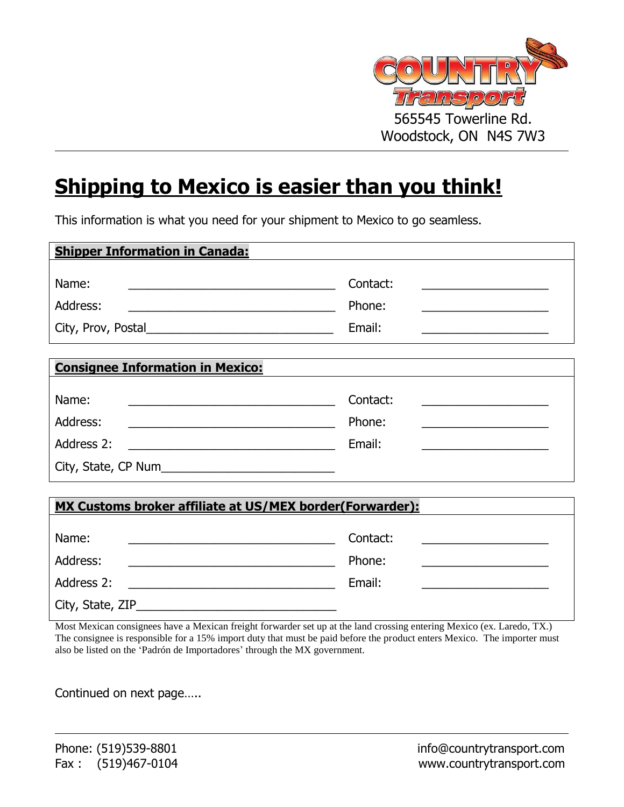

## **Shipping to Mexico is easier than you think!**

This information is what you need for your shipment to Mexico to go seamless.

| <b>Shipper Information in Canada:</b>                                                                                           |                                                                                      |  |  |  |
|---------------------------------------------------------------------------------------------------------------------------------|--------------------------------------------------------------------------------------|--|--|--|
| Name:                                                                                                                           | Contact:<br><u> 1989 - Johann John Stone, markin f</u>                               |  |  |  |
| Address:<br><u> 1989 - Johann Stein, fransk politik en og de forske forske forske forske forske forske forske forske forske</u> | Phone:                                                                               |  |  |  |
|                                                                                                                                 | Email:                                                                               |  |  |  |
|                                                                                                                                 |                                                                                      |  |  |  |
| <b>Consignee Information in Mexico:</b>                                                                                         |                                                                                      |  |  |  |
| Name:                                                                                                                           | Contact:                                                                             |  |  |  |
| Address:<br><u> 1989 - Jan James James Barbara, meny kaominina dia kaominina mpikambana ara-</u>                                | Phone:<br>the control of the control of the control of the control of the control of |  |  |  |
| Address 2:<br><u> 1990 - Johann Barbara, martin amerikan basa</u>                                                               | Email:                                                                               |  |  |  |
|                                                                                                                                 |                                                                                      |  |  |  |
|                                                                                                                                 |                                                                                      |  |  |  |
| <b>MX Customs broker affiliate at US/MEX border(Forwarder):</b>                                                                 |                                                                                      |  |  |  |
| Name:                                                                                                                           | Contact:                                                                             |  |  |  |

| Address:          | Phone: |
|-------------------|--------|
| Address 2:        | Email: |
| City, State, ZIP_ |        |

Most Mexican consignees have a Mexican freight forwarder set up at the land crossing entering Mexico (ex. Laredo, TX.) The consignee is responsible for a 15% import duty that must be paid before the product enters Mexico. The importer must also be listed on the 'Padrón de Importadores' through the MX government.

Continued on next page…..